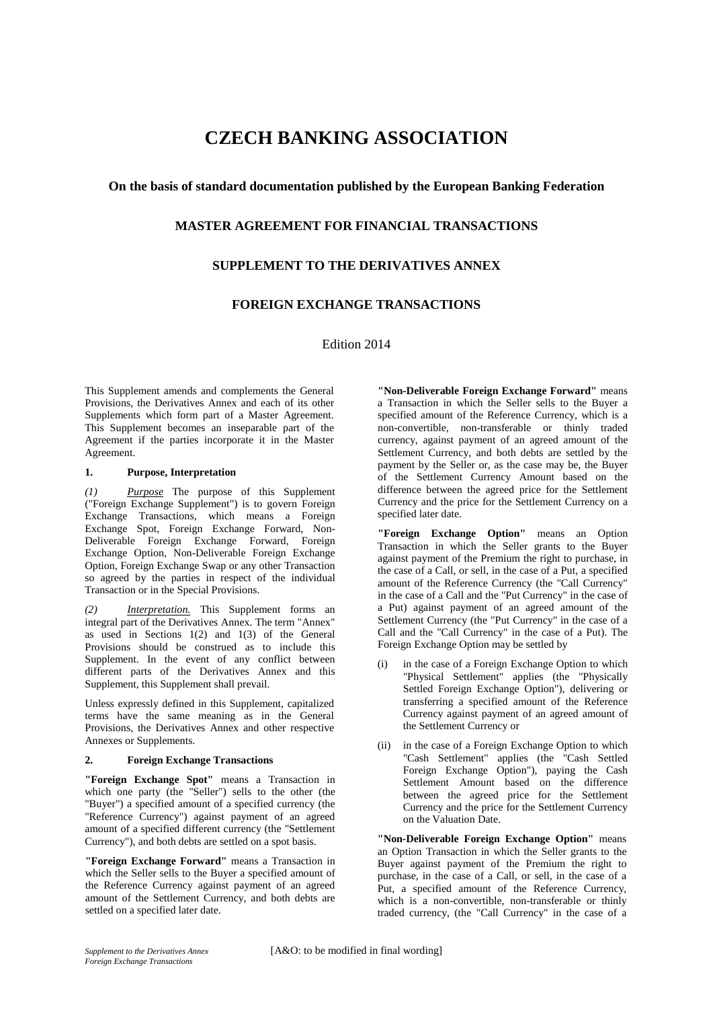# **CZECH BANKING ASSOCIATION**

## **On the basis of standard documentation published by the European Banking Federation**

# **MASTER AGREEMENT FOR FINANCIAL TRANSACTIONS**

# **SUPPLEMENT TO THE DERIVATIVES ANNEX**

# **FOREIGN EXCHANGE TRANSACTIONS**

Edition 2014

This Supplement amends and complements the General Provisions, the Derivatives Annex and each of its other Supplements which form part of a Master Agreement. This Supplement becomes an inseparable part of the Agreement if the parties incorporate it in the Master Agreement.

#### **1. Purpose, Interpretation**

*(1) Purpose* The purpose of this Supplement ("Foreign Exchange Supplement") is to govern Foreign Exchange Transactions, which means a Foreign Exchange Spot, Foreign Exchange Forward, Non-Deliverable Foreign Exchange Forward, Foreign Exchange Option, Non-Deliverable Foreign Exchange Option, Foreign Exchange Swap or any other Transaction so agreed by the parties in respect of the individual Transaction or in the Special Provisions.

*(2) Interpretation.* This Supplement forms an integral part of the Derivatives Annex. The term "Annex" as used in Sections 1(2) and 1(3) of the General Provisions should be construed as to include this Supplement. In the event of any conflict between different parts of the Derivatives Annex and this Supplement, this Supplement shall prevail.

Unless expressly defined in this Supplement, capitalized terms have the same meaning as in the General Provisions, the Derivatives Annex and other respective Annexes or Supplements.

#### **2. Foreign Exchange Transactions**

**"Foreign Exchange Spot"** means a Transaction in which one party (the "Seller") sells to the other (the "Buyer") a specified amount of a specified currency (the "Reference Currency") against payment of an agreed amount of a specified different currency (the "Settlement Currency"), and both debts are settled on a spot basis.

**"Foreign Exchange Forward"** means a Transaction in which the Seller sells to the Buyer a specified amount of the Reference Currency against payment of an agreed amount of the Settlement Currency, and both debts are settled on a specified later date.

**"Non-Deliverable Foreign Exchange Forward"** means a Transaction in which the Seller sells to the Buyer a specified amount of the Reference Currency, which is a non-convertible, non-transferable or thinly traded currency, against payment of an agreed amount of the Settlement Currency, and both debts are settled by the payment by the Seller or, as the case may be, the Buyer of the Settlement Currency Amount based on the difference between the agreed price for the Settlement Currency and the price for the Settlement Currency on a specified later date.

**"Foreign Exchange Option"** means an Option Transaction in which the Seller grants to the Buyer against payment of the Premium the right to purchase, in the case of a Call, or sell, in the case of a Put, a specified amount of the Reference Currency (the "Call Currency" in the case of a Call and the "Put Currency" in the case of a Put) against payment of an agreed amount of the Settlement Currency (the "Put Currency" in the case of a Call and the "Call Currency" in the case of a Put). The Foreign Exchange Option may be settled by

- (i) in the case of a Foreign Exchange Option to which "Physical Settlement" applies (the "Physically Settled Foreign Exchange Option"), delivering or transferring a specified amount of the Reference Currency against payment of an agreed amount of the Settlement Currency or
- (ii) in the case of a Foreign Exchange Option to which "Cash Settlement" applies (the "Cash Settled Foreign Exchange Option"), paying the Cash Settlement Amount based on the difference between the agreed price for the Settlement Currency and the price for the Settlement Currency on the Valuation Date.

**"Non-Deliverable Foreign Exchange Option"** means an Option Transaction in which the Seller grants to the Buyer against payment of the Premium the right to purchase, in the case of a Call, or sell, in the case of a Put, a specified amount of the Reference Currency, which is a non-convertible, non-transferable or thinly traded currency, (the "Call Currency" in the case of a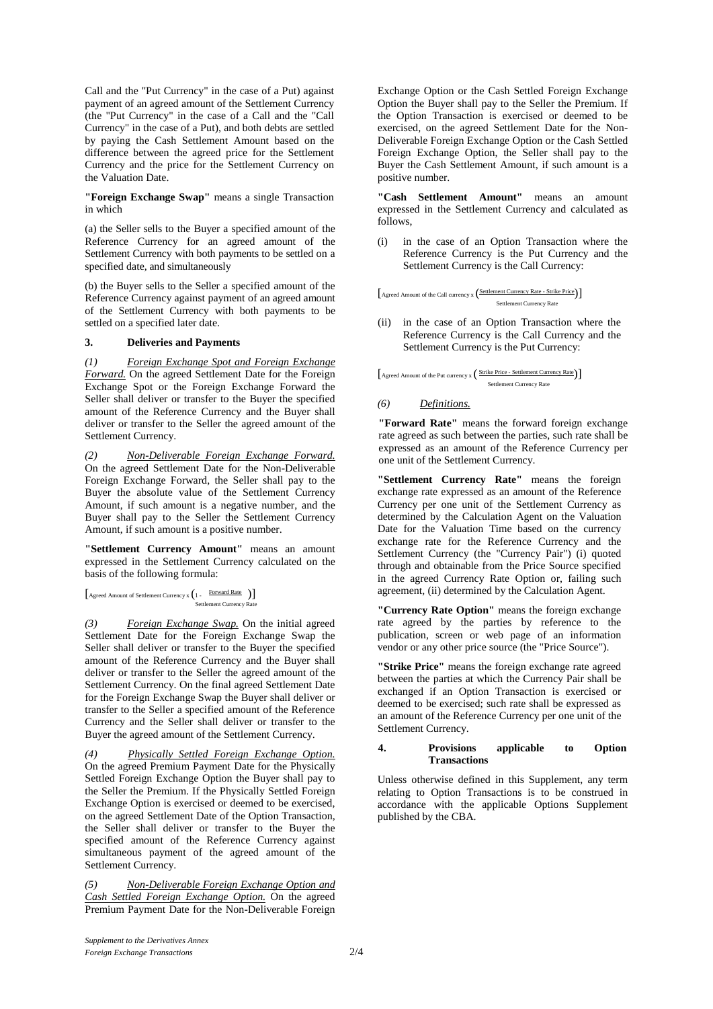Call and the "Put Currency" in the case of a Put) against payment of an agreed amount of the Settlement Currency (the "Put Currency" in the case of a Call and the "Call Currency" in the case of a Put), and both debts are settled by paying the Cash Settlement Amount based on the difference between the agreed price for the Settlement Currency and the price for the Settlement Currency on the Valuation Date.

**"Foreign Exchange Swap"** means a single Transaction in which

(a) the Seller sells to the Buyer a specified amount of the Reference Currency for an agreed amount of the Settlement Currency with both payments to be settled on a specified date, and simultaneously

(b) the Buyer sells to the Seller a specified amount of the Reference Currency against payment of an agreed amount of the Settlement Currency with both payments to be settled on a specified later date.

### **3. Deliveries and Payments**

*(1) Foreign Exchange Spot and Foreign Exchange Forward.* On the agreed Settlement Date for the Foreign Exchange Spot or the Foreign Exchange Forward the Seller shall deliver or transfer to the Buyer the specified amount of the Reference Currency and the Buyer shall deliver or transfer to the Seller the agreed amount of the Settlement Currency.

*(2) Non-Deliverable Foreign Exchange Forward.*  On the agreed Settlement Date for the Non-Deliverable Foreign Exchange Forward, the Seller shall pay to the Buyer the absolute value of the Settlement Currency Amount, if such amount is a negative number, and the Buyer shall pay to the Seller the Settlement Currency Amount, if such amount is a positive number.

**"Settlement Currency Amount"** means an amount expressed in the Settlement Currency calculated on the basis of the following formula:

```
[Agreed Amount of Settlement Currency x (1 - Forward Rate )]
Settlement Currency Rate
```
*(3) Foreign Exchange Swap.* On the initial agreed Settlement Date for the Foreign Exchange Swap the Seller shall deliver or transfer to the Buyer the specified amount of the Reference Currency and the Buyer shall deliver or transfer to the Seller the agreed amount of the Settlement Currency. On the final agreed Settlement Date for the Foreign Exchange Swap the Buyer shall deliver or transfer to the Seller a specified amount of the Reference Currency and the Seller shall deliver or transfer to the Buyer the agreed amount of the Settlement Currency.

*(4) Physically Settled Foreign Exchange Option.*  On the agreed Premium Payment Date for the Physically Settled Foreign Exchange Option the Buyer shall pay to the Seller the Premium. If the Physically Settled Foreign Exchange Option is exercised or deemed to be exercised, on the agreed Settlement Date of the Option Transaction, the Seller shall deliver or transfer to the Buyer the specified amount of the Reference Currency against simultaneous payment of the agreed amount of the Settlement Currency.

*(5) Non-Deliverable Foreign Exchange Option and Cash Settled Foreign Exchange Option.* On the agreed Premium Payment Date for the Non-Deliverable Foreign

Exchange Option or the Cash Settled Foreign Exchange Option the Buyer shall pay to the Seller the Premium. If the Option Transaction is exercised or deemed to be exercised, on the agreed Settlement Date for the Non-Deliverable Foreign Exchange Option or the Cash Settled Foreign Exchange Option, the Seller shall pay to the Buyer the Cash Settlement Amount, if such amount is a positive number.

**"Cash Settlement Amount"** means an amount expressed in the Settlement Currency and calculated as follows,

in the case of an Option Transaction where the Reference Currency is the Put Currency and the Settlement Currency is the Call Currency:

[Agreed Amount of the Call currency x (Settlement Currency Rate - Strike Price)] Settlement Currency Rate

(ii) in the case of an Option Transaction where the Reference Currency is the Call Currency and the Settlement Currency is the Put Currency:

 $\int$  Agreed Amount of the Put currency  $x \left( \frac{\text{Strike Pri}}{\text{E}} \right)$ Settlement Currency Rate

### *(6) Definitions.*

**"Forward Rate"** means the forward foreign exchange rate agreed as such between the parties, such rate shall be expressed as an amount of the Reference Currency per one unit of the Settlement Currency.

**"Settlement Currency Rate"** means the foreign exchange rate expressed as an amount of the Reference Currency per one unit of the Settlement Currency as determined by the Calculation Agent on the Valuation Date for the Valuation Time based on the currency exchange rate for the Reference Currency and the Settlement Currency (the "Currency Pair") (i) quoted through and obtainable from the Price Source specified in the agreed Currency Rate Option or, failing such agreement, (ii) determined by the Calculation Agent.

**"Currency Rate Option"** means the foreign exchange rate agreed by the parties by reference to the publication, screen or web page of an information vendor or any other price source (the "Price Source").

**"Strike Price"** means the foreign exchange rate agreed between the parties at which the Currency Pair shall be exchanged if an Option Transaction is exercised or deemed to be exercised; such rate shall be expressed as an amount of the Reference Currency per one unit of the Settlement Currency.

#### **4. Provisions applicable to Option Transactions**

Unless otherwise defined in this Supplement, any term relating to Option Transactions is to be construed in accordance with the applicable Options Supplement published by the CBA.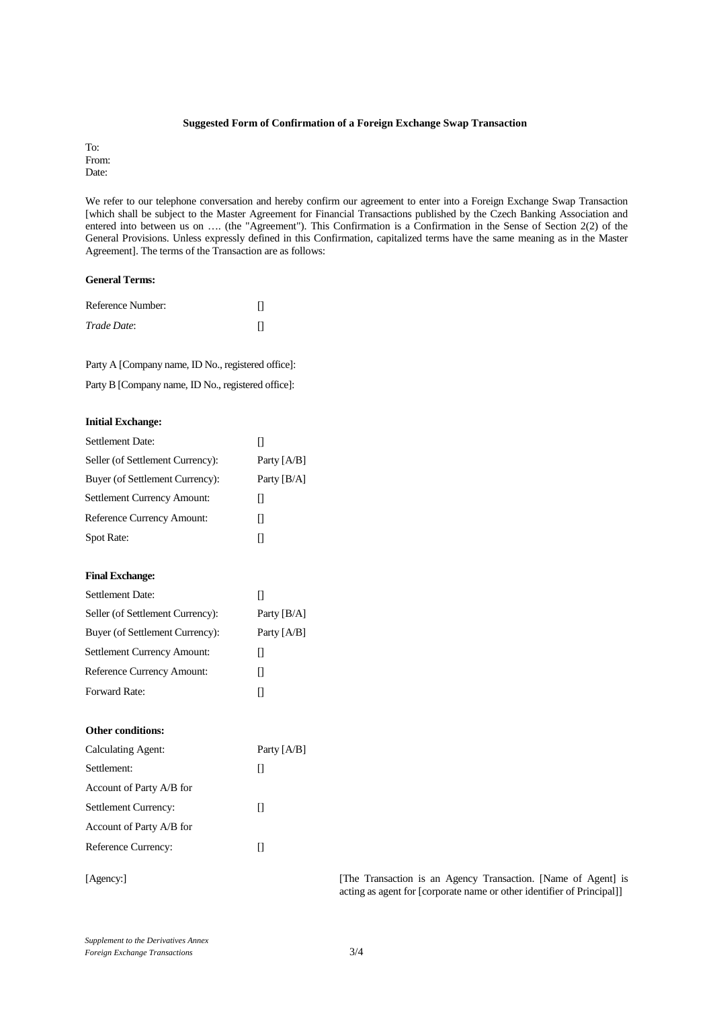#### **Suggested Form of Confirmation of a Foreign Exchange Swap Transaction**

To: From: Date:

We refer to our telephone conversation and hereby confirm our agreement to enter into a Foreign Exchange Swap Transaction [which shall be subject to the Master Agreement for Financial Transactions published by the Czech Banking Association and entered into between us on …. (the "Agreement"). This Confirmation is a Confirmation in the Sense of Section 2(2) of the General Provisions. Unless expressly defined in this Confirmation, capitalized terms have the same meaning as in the Master Agreement]. The terms of the Transaction are as follows:

### **General Terms:**

| Reference Number: |  |
|-------------------|--|
| Trade Date:       |  |

Party A [Company name, ID No., registered office]:

Party B [Company name, ID No., registered office]:

### **Initial Exchange:**

| <b>Settlement Date:</b>          | П             |
|----------------------------------|---------------|
| Seller (of Settlement Currency): | Party $[A/B]$ |
| Buyer (of Settlement Currency):  | Party [B/A]   |
| Settlement Currency Amount:      | П             |
| Reference Currency Amount:       | П             |
| Spot Rate:                       | П             |
| <b>Final Exchange:</b>           |               |
| <b>Settlement Date:</b>          | П             |
| Seller (of Settlement Currency): | Party $[B/A]$ |
| Buyer (of Settlement Currency):  | Party [A/B]   |
| Settlement Currency Amount:      | П             |
| Reference Currency Amount:       | П             |
| Forward Rate:                    | $\Box$        |
| <b>Other conditions:</b>         |               |
| <b>Calculating Agent:</b>        | Party [A/B]   |
| Settlement:                      | П             |
| Account of Party A/B for         |               |
| Settlement Currency:             | П             |
| Account of Party A/B for         |               |
| Reference Currency:              | П             |
|                                  |               |

[Agency:] [The Transaction is an Agency Transaction. [Name of Agent] is acting as agent for [corporate name or other identifier of Principal]]